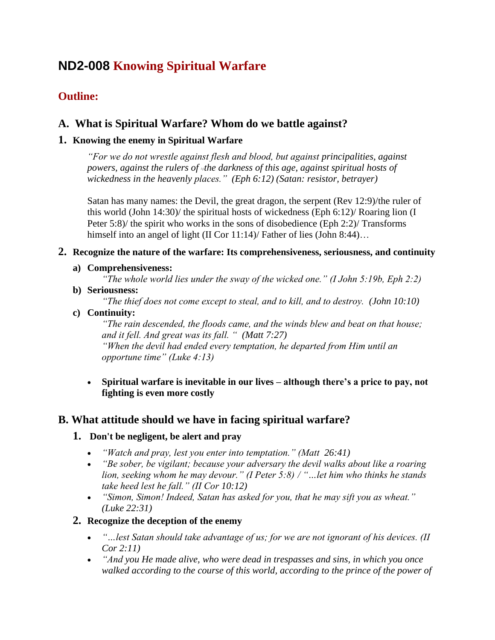# **ND2-008 Knowing Spiritual Warfare**

# **Outline:**

# **A. What is Spiritual Warfare? Whom do we battle against?**

### **1. Knowing the enemy in Spiritual Warfare**

*"For we do not wrestle against flesh and blood, but against principalities, against powers, against the rulers of [\[c\]](https://www.biblegateway.com/passage/?search=Ephesians+6&version=NKJV#fen-NKJV-29350c)the darkness of this age, against spiritual hosts of wickedness in the heavenly places." (Eph 6:12) (Satan: resistor, betrayer)*

Satan has many names: the Devil, the great dragon, the serpent (Rev 12:9)/the ruler of this world (John 14:30)/ the spiritual hosts of wickedness (Eph 6:12)/ Roaring lion (I Peter  $5:8$ )/ the spirit who works in the sons of disobedience (Eph 2:2)/ Transforms himself into an angel of light (II Cor 11:14)/ Father of lies (John 8:44)...

### **2. Recognize the nature of the warfare: Its comprehensiveness, seriousness, and continuity**

**a) Comprehensiveness:**

*"The whole world lies under the sway of the wicked one." (I John 5:19b, Eph 2:2)*

**b) Seriousness:**

*"The thief does not come except to steal, and to kill, and to destroy. (John 10:10)*

### **c) Continuity:**

*"The rain descended, the floods came, and the winds blew and beat on that house; and it fell. And great was its fall. " (Matt 7:27) "When the devil had ended every temptation, he departed from Him until an opportune time" (Luke 4:13)*

• **Spiritual warfare is inevitable in our lives – although there's a price to pay, not fighting is even more costly**

# **B. What attitude should we have in facing spiritual warfare?**

### **1. Don't be negligent, be alert and pray**

- *"Watch and pray, lest you enter into temptation." (Matt 26:41)*
- *"Be sober, be vigilant; because your adversary the devil walks about like a roaring lion, seeking whom he may devour." (I Peter 5:8) / "…let him who thinks he stands take heed lest he fall." (II Cor 10:12)*
- *"Simon, Simon! Indeed, Satan has asked for you, that he may sift you as wheat." (Luke 22:31)*

### **2. Recognize the deception of the enemy**

- *"…lest Satan should take advantage of us; for we are not ignorant of his devices. (II Cor 2:11)*
- *"And you He made alive, who were dead in trespasses and sins, in which you once walked according to the course of this world, according to the prince of the power of*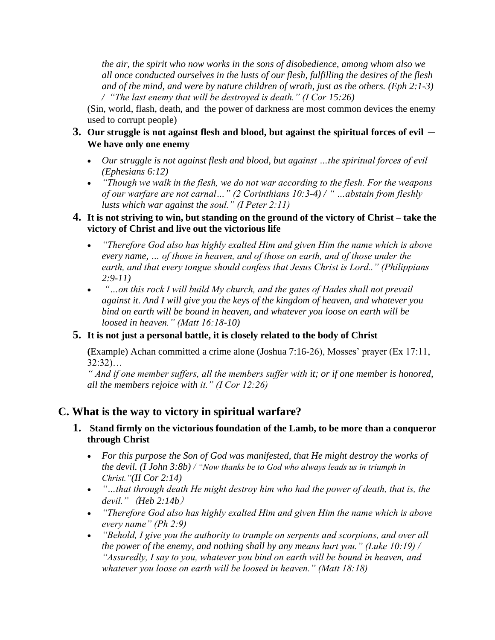*the air, the spirit who now works in the sons of disobedience, among whom also we all once conducted ourselves in the lusts of our flesh, fulfilling the desires of the flesh and of the mind, and were by nature children of wrath, just as the others. (Eph 2:1-3) / "The last enemy that will be destroyed is death." (I Cor 15:26)*

(Sin, world, flash, death, and the power of darkness are most common devices the enemy used to corrupt people)

- **3.** Our struggle is not against flesh and blood, but against the spiritual forces of evil  $-$ **We have only one enemy**
	- *Our struggle is not against flesh and blood, but against …the spiritual forces of evil (Ephesians 6:12)*
	- *"Though we walk in the flesh, we do not war according to the flesh. For the weapons of our warfare are not carnal…" (2 Corinthians 10:3-4) / " …abstain from fleshly lusts which war against the soul." (I Peter 2:11)*

### **4. It is not striving to win, but standing on the ground of the victory of Christ – take the victory of Christ and live out the victorious life**

- *"Therefore God also has highly exalted Him and given Him the name which is above every name, … of those in heaven, and of those on earth, and of those under the earth, and that every tongue should confess that Jesus Christ is Lord.." (Philippians 2:9-11)*
- *"…on this rock I will build My church, and the gates of Hades shall not prevail against it. And I will give you the keys of the kingdom of heaven, and whatever you bind on earth will be bound in heaven, and whatever you loose on earth will be loosed in heaven." (Matt 16:18-10)*

### **5. It is not just a personal battle, it is closely related to the body of Christ**

**(**Example) Achan committed a crime alone (Joshua 7:16-26), Mosses' prayer (Ex 17:11, 32:32)…

*" And if one member suffers, all the members suffer with it; or if one member is honored, all the members rejoice with it." (I Cor 12:26)*

### **C. What is the way to victory in spiritual warfare?**

### **1. Stand firmly on the victorious foundation of the Lamb, to be more than a conqueror through Christ**

- *For this purpose the Son of God was manifested, that He might destroy the works of the devil. (I John 3:8b) / "Now thanks be to God who always leads us in triumph in Christ."(II Cor 2:14)*
- *"…that through death He might destroy him who had the power of death, that is, the devil."*(*Heb 2:14b*)
- *"Therefore God also has highly exalted Him and given Him the name which is above every name" (Ph 2:9)*
- *"Behold, I give you the authority to trample on serpents and scorpions, and over all the power of the enemy, and nothing shall by any means hurt you." (Luke 10:19) / "Assuredly, I say to you, whatever you bind on earth will be bound in heaven, and whatever you loose on earth will be loosed in heaven." (Matt 18:18)*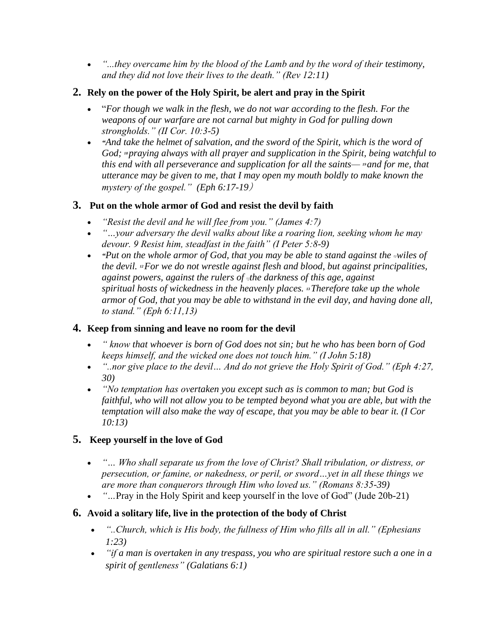• *"...they overcame him by the blood of the Lamb and by the word of their testimony, and they did not love their lives to the death." (Rev 12:11)*

### **2. Rely on the power of the Holy Spirit, be alert and pray in the Spirit**

- "*For though we walk in the flesh, we do not war according to the flesh. For the weapons of our warfare are not carnal but mighty in God for pulling down strongholds." (II Cor. 10:3-5)*
- *"And take the helmet of salvation, and the sword of the Spirit, which is the word of God; <sup>18</sup> praying always with all prayer and supplication in the Spirit, being watchful to this end with all perseverance and supplication for all the saints— <sup>9</sup> and for me, that utterance may be given to me, that I may open my mouth boldly to make known the mystery of the gospel." (Eph 6:17-19*)

### **3. Put on the whole armor of God and resist the devil by faith**

- *"Resist the devil and he will flee from you." (James 4:7)*
- *"…your adversary the devil walks about like a roaring lion, seeking whom he may devour. 9 Resist him, steadfast in the faith" (I Peter 5:8-9)*
- *"Put on the [w](https://www.biblegateway.com/passage/?search=Ephesians+6&version=NKJV#fen-NKJV-29349b)hole armor of God, that you may be able to stand against the viles of the devil. <sup>12</sup>For we do not wrestle against flesh and blood, but against principalities, against powers, against the rulers of [c][t](https://www.biblegateway.com/passage/?search=Ephesians+6&version=NKJV#fen-NKJV-29350c)he darkness of this age, against spiritual hosts of wickedness in the heavenly places. <sup>13</sup>Therefore take up the whole armor of God, that you may be able to withstand in the evil day, and having done all, to stand." (Eph 6:11,13)*

### **4. Keep from sinning and leave no room for the devil**

- *" know that whoever is born of God does not sin; but he who has been born of God keeps himself, and the wicked one does not touch him." (I John 5:18)*
- *"..nor give place to the devil… And do not grieve the Holy Spirit of God." (Eph 4:27, 30)*
- *"No temptation has overtaken you except such as is common to man; but God is faithful, who will not allow you to be tempted beyond what you are able, but with the temptation will also make the way of escape, that you may be able to bear it. (I Cor 10:13)*

### **5. Keep yourself in the love of God**

- *"… Who shall separate us from the love of Christ? Shall tribulation, or distress, or persecution, or famine, or nakedness, or peril, or sword…yet in all these things we are more than conquerors through Him who loved us." (Romans 8:35-39)*
- *"...* Pray in the Holy Spirit and keep yourself in the love of God" (Jude 20b-21)

### **6. Avoid a solitary life, live in the protection of the body of Christ**

- *"..Church, which is His body, the fullness of Him who fills all in all." (Ephesians 1:23)*
- *"if a man is overtaken in any trespass, you who are spiritual restore such a one in a spirit of gentleness" (Galatians 6:1)*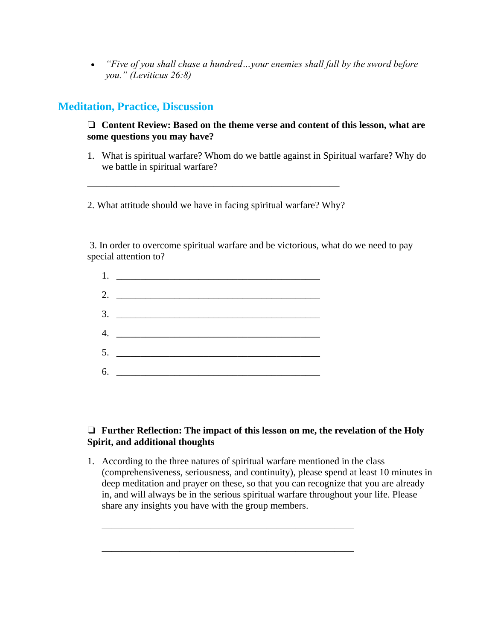• *"Five of you shall chase a hundred…your enemies shall fall by the sword before you." (Leviticus 26:8)*

### **Meditation, Practice, Discussion**

❏ **Content Review: Based on the theme verse and content of this lesson, what are some questions you may have?**

1. What is spiritual warfare? Whom do we battle against in Spiritual warfare? Why do we battle in spiritual warfare?

2. What attitude should we have in facing spiritual warfare? Why?

 $\frac{1}{\sqrt{2}}$  , and the contract of the contract of the contract of the contract of the contract of the contract of the contract of the contract of the contract of the contract of the contract of the contract of the contra

3. In order to overcome spiritual warfare and be victorious, what do we need to pay special attention to?

| 2. $\qquad \qquad$ |
|--------------------|
|                    |
| 4.                 |
| 5.                 |
| 6.                 |

### ❏ **Further Reflection: The impact of this lesson on me, the revelation of the Holy Spirit, and additional thoughts**

1. According to the three natures of spiritual warfare mentioned in the class (comprehensiveness, seriousness, and continuity), please spend at least 10 minutes in deep meditation and prayer on these, so that you can recognize that you are already in, and will always be in the serious spiritual warfare throughout your life. Please share any insights you have with the group members.

 $\frac{1}{\sqrt{2}}$  , and the contract of the contract of the contract of the contract of the contract of the contract of the contract of the contract of the contract of the contract of the contract of the contract of the contra

 $\frac{1}{\sqrt{2}}$  , and the contract of the contract of the contract of the contract of the contract of the contract of the contract of the contract of the contract of the contract of the contract of the contract of the contra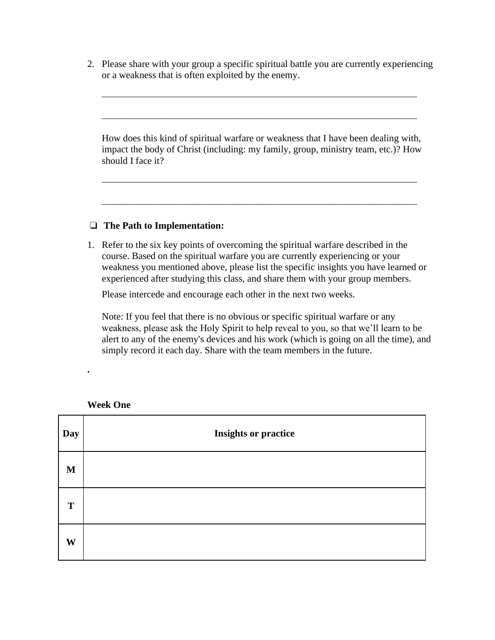2. Please share with your group a specific spiritual battle you are currently experiencing or a weakness that is often exploited by the enemy.

 $\overline{\phantom{a}}$  , and the contract of the contract of the contract of the contract of the contract of the contract of the contract of the contract of the contract of the contract of the contract of the contract of the contrac

 $\overline{\phantom{a}}$  , and the contract of the contract of the contract of the contract of the contract of the contract of the contract of the contract of the contract of the contract of the contract of the contract of the contrac

How does this kind of spiritual warfare or weakness that I have been dealing with, impact the body of Christ (including: my family, group, ministry team, etc.)? How should I face it?

 $\overline{\phantom{a}}$  , and the contract of the contract of the contract of the contract of the contract of the contract of the contract of the contract of the contract of the contract of the contract of the contract of the contrac

 $\overline{\phantom{a}}$  , and the contract of the contract of the contract of the contract of the contract of the contract of the contract of the contract of the contract of the contract of the contract of the contract of the contrac

#### ❏ **The Path to Implementation:**

1. Refer to the six key points of overcoming the spiritual warfare described in the course. Based on the spiritual warfare you are currently experiencing or your weakness you mentioned above, please list the specific insights you have learned or experienced after studying this class, and share them with your group members.

Please intercede and encourage each other in the next two weeks.

Note: If you feel that there is no obvious or specific spiritual warfare or any weakness, please ask the Holy Spirit to help reveal to you, so that we'll learn to be alert to any of the enemy's devices and his work (which is going on all the time), and simply record it each day. Share with the team members in the future.

| Day         | <b>Insights or practice</b> |
|-------------|-----------------------------|
| $\mathbf M$ |                             |
| T           |                             |
| W           |                             |

**Week One**

**.**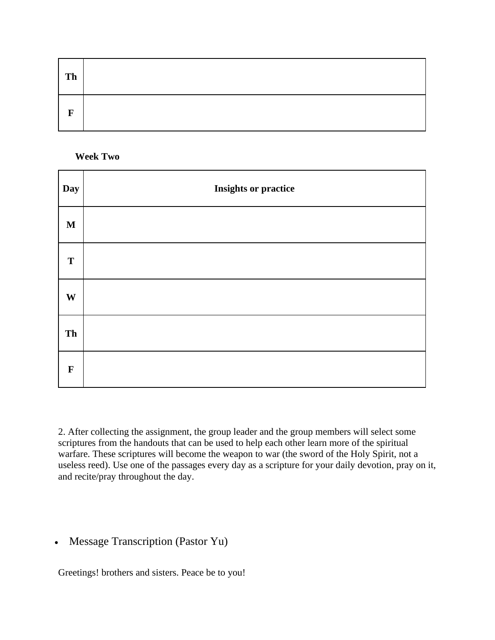| Th |  |
|----|--|
| F  |  |

#### **Week Two**

| <b>Day</b>  | <b>Insights or practice</b> |
|-------------|-----------------------------|
| $\mathbf M$ |                             |
| ${\bf T}$   |                             |
| W           |                             |
| Th          |                             |
| $\mathbf F$ |                             |

2. After collecting the assignment, the group leader and the group members will select some scriptures from the handouts that can be used to help each other learn more of the spiritual warfare. These scriptures will become the weapon to war (the sword of the Holy Spirit, not a useless reed). Use one of the passages every day as a scripture for your daily devotion, pray on it, and recite/pray throughout the day.

### • Message Transcription (Pastor Yu)

Greetings! brothers and sisters. Peace be to you!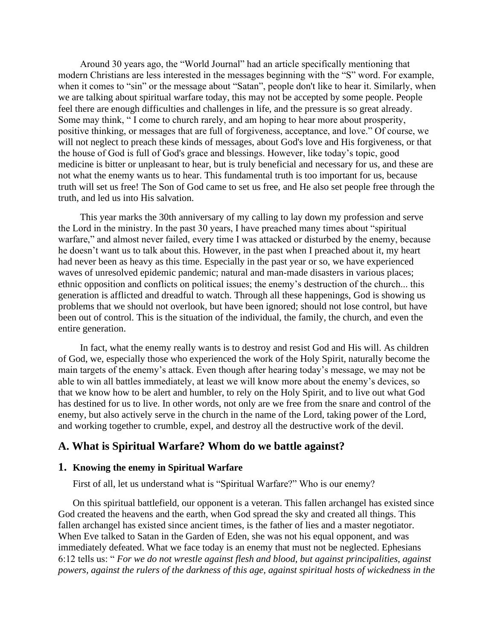Around 30 years ago, the "World Journal" had an article specifically mentioning that modern Christians are less interested in the messages beginning with the "S" word. For example, when it comes to "sin" or the message about "Satan", people don't like to hear it. Similarly, when we are talking about spiritual warfare today, this may not be accepted by some people. People feel there are enough difficulties and challenges in life, and the pressure is so great already. Some may think, " I come to church rarely, and am hoping to hear more about prosperity, positive thinking, or messages that are full of forgiveness, acceptance, and love." Of course, we will not neglect to preach these kinds of messages, about God's love and His forgiveness, or that the house of God is full of God's grace and blessings. However, like today's topic, good medicine is bitter or unpleasant to hear, but is truly beneficial and necessary for us, and these are not what the enemy wants us to hear. This fundamental truth is too important for us, because truth will set us free! The Son of God came to set us free, and He also set people free through the truth, and led us into His salvation.

This year marks the 30th anniversary of my calling to lay down my profession and serve the Lord in the ministry. In the past 30 years, I have preached many times about "spiritual warfare," and almost never failed, every time I was attacked or disturbed by the enemy, because he doesn't want us to talk about this. However, in the past when I preached about it, my heart had never been as heavy as this time. Especially in the past year or so, we have experienced waves of unresolved epidemic pandemic; natural and man-made disasters in various places; ethnic opposition and conflicts on political issues; the enemy's destruction of the church... this generation is afflicted and dreadful to watch. Through all these happenings, God is showing us problems that we should not overlook, but have been ignored; should not lose control, but have been out of control. This is the situation of the individual, the family, the church, and even the entire generation.

In fact, what the enemy really wants is to destroy and resist God and His will. As children of God, we, especially those who experienced the work of the Holy Spirit, naturally become the main targets of the enemy's attack. Even though after hearing today's message, we may not be able to win all battles immediately, at least we will know more about the enemy's devices, so that we know how to be alert and humbler, to rely on the Holy Spirit, and to live out what God has destined for us to live. In other words, not only are we free from the snare and control of the enemy, but also actively serve in the church in the name of the Lord, taking power of the Lord, and working together to crumble, expel, and destroy all the destructive work of the devil.

### **A. What is Spiritual Warfare? Whom do we battle against?**

#### **1. Knowing the enemy in Spiritual Warfare**

First of all, let us understand what is "Spiritual Warfare?" Who is our enemy?

On this spiritual battlefield, our opponent is a veteran. This fallen archangel has existed since God created the heavens and the earth, when God spread the sky and created all things. This fallen archangel has existed since ancient times, is the father of lies and a master negotiator. When Eve talked to Satan in the Garden of Eden, she was not his equal opponent, and was immediately defeated. What we face today is an enemy that must not be neglected. Ephesians 6:12 tells us: " *For we do not wrestle against flesh and blood, but against principalities, against powers, against the rulers of the darkness of this age, against spiritual hosts of wickedness in the*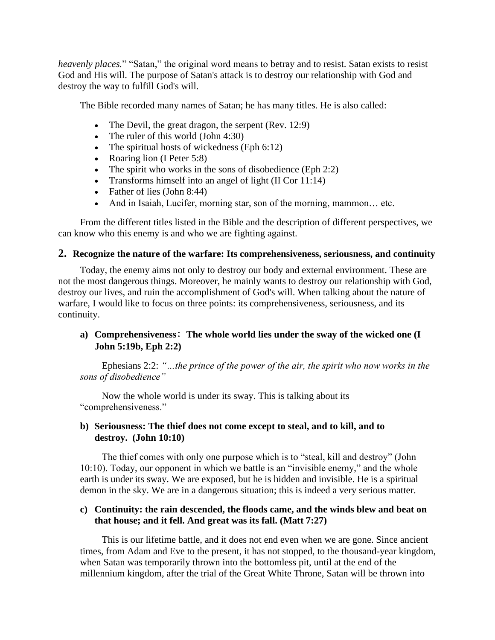*heavenly places.*" "Satan," the original word means to betray and to resist. Satan exists to resist God and His will. The purpose of Satan's attack is to destroy our relationship with God and destroy the way to fulfill God's will.

The Bible recorded many names of Satan; he has many titles. He is also called:

- The Devil, the great dragon, the serpent (Rev. 12:9)
- The ruler of this world (John 4:30)
- The spiritual hosts of wickedness (Eph  $6:12$ )
- Roaring lion (I Peter 5:8)
- The spirit who works in the sons of disobedience (Eph 2:2)
- Transforms himself into an angel of light (II Cor 11:14)
- Father of lies (John 8:44)
- And in Isaiah, Lucifer, morning star, son of the morning, mammon... etc.

From the different titles listed in the Bible and the description of different perspectives, we can know who this enemy is and who we are fighting against.

#### **2. Recognize the nature of the warfare: Its comprehensiveness, seriousness, and continuity**

Today, the enemy aims not only to destroy our body and external environment. These are not the most dangerous things. Moreover, he mainly wants to destroy our relationship with God, destroy our lives, and ruin the accomplishment of God's will. When talking about the nature of warfare, I would like to focus on three points: its comprehensiveness, seriousness, and its continuity.

#### **a) Comprehensiveness**: **The whole world lies under the sway of the wicked one (I John 5:19b, Eph 2:2)**

Ephesians 2:2: *"…the prince of the power of the air, the spirit who now works in the sons of disobedience"*

Now the whole world is under its sway. This is talking about its "comprehensiveness."

#### **b) Seriousness: The thief does not come except to steal, and to kill, and to destroy. (John 10:10)**

The thief comes with only one purpose which is to "steal, kill and destroy" (John 10:10). Today, our opponent in which we battle is an "invisible enemy," and the whole earth is under its sway. We are exposed, but he is hidden and invisible. He is a spiritual demon in the sky. We are in a dangerous situation; this is indeed a very serious matter.

#### **c) Continuity: the rain descended, the floods came, and the winds blew and beat on that house; and it fell. And great was its fall. (Matt 7:27)**

This is our lifetime battle, and it does not end even when we are gone. Since ancient times, from Adam and Eve to the present, it has not stopped, to the thousand-year kingdom, when Satan was temporarily thrown into the bottomless pit, until at the end of the millennium kingdom, after the trial of the Great White Throne, Satan will be thrown into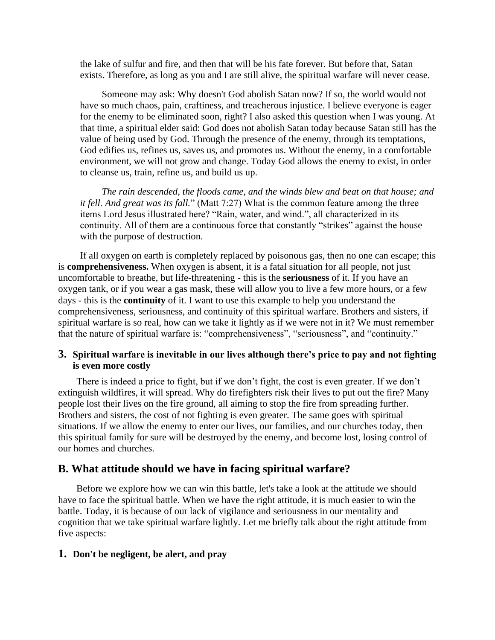the lake of sulfur and fire, and then that will be his fate forever. But before that, Satan exists. Therefore, as long as you and I are still alive, the spiritual warfare will never cease.

Someone may ask: Why doesn't God abolish Satan now? If so, the world would not have so much chaos, pain, craftiness, and treacherous injustice. I believe everyone is eager for the enemy to be eliminated soon, right? I also asked this question when I was young. At that time, a spiritual elder said: God does not abolish Satan today because Satan still has the value of being used by God. Through the presence of the enemy, through its temptations, God edifies us, refines us, saves us, and promotes us. Without the enemy, in a comfortable environment, we will not grow and change. Today God allows the enemy to exist, in order to cleanse us, train, refine us, and build us up.

*The rain descended, the floods came, and the winds blew and beat on that house; and it fell. And great was its fall.*" (Matt 7:27) What is the common feature among the three items Lord Jesus illustrated here? "Rain, water, and wind.", all characterized in its continuity. All of them are a continuous force that constantly "strikes" against the house with the purpose of destruction.

If all oxygen on earth is completely replaced by poisonous gas, then no one can escape; this is **comprehensiveness.** When oxygen is absent, it is a fatal situation for all people, not just uncomfortable to breathe, but life-threatening - this is the **seriousness** of it. If you have an oxygen tank, or if you wear a gas mask, these will allow you to live a few more hours, or a few days - this is the **continuity** of it. I want to use this example to help you understand the comprehensiveness, seriousness, and continuity of this spiritual warfare. Brothers and sisters, if spiritual warfare is so real, how can we take it lightly as if we were not in it? We must remember that the nature of spiritual warfare is: "comprehensiveness", "seriousness", and "continuity."

#### **3. Spiritual warfare is inevitable in our lives although there's price to pay and not fighting is even more costly**

There is indeed a price to fight, but if we don't fight, the cost is even greater. If we don't extinguish wildfires, it will spread. Why do firefighters risk their lives to put out the fire? Many people lost their lives on the fire ground, all aiming to stop the fire from spreading further. Brothers and sisters, the cost of not fighting is even greater. The same goes with spiritual situations. If we allow the enemy to enter our lives, our families, and our churches today, then this spiritual family for sure will be destroyed by the enemy, and become lost, losing control of our homes and churches.

#### **B. What attitude should we have in facing spiritual warfare?**

Before we explore how we can win this battle, let's take a look at the attitude we should have to face the spiritual battle. When we have the right attitude, it is much easier to win the battle. Today, it is because of our lack of vigilance and seriousness in our mentality and cognition that we take spiritual warfare lightly. Let me briefly talk about the right attitude from five aspects:

#### **1. Don't be negligent, be alert, and pray**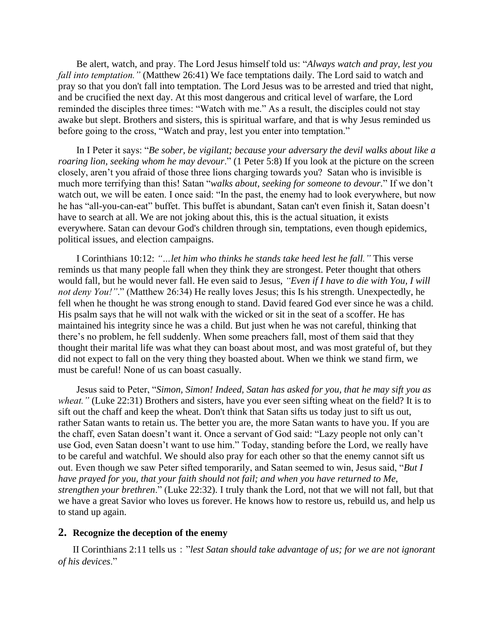Be alert, watch, and pray. The Lord Jesus himself told us: "*Always watch and pray, lest you fall into temptation."* (Matthew 26:41) We face temptations daily. The Lord said to watch and pray so that you don't fall into temptation. The Lord Jesus was to be arrested and tried that night, and be crucified the next day. At this most dangerous and critical level of warfare, the Lord reminded the disciples three times: "Watch with me." As a result, the disciples could not stay awake but slept. Brothers and sisters, this is spiritual warfare, and that is why Jesus reminded us before going to the cross, "Watch and pray, lest you enter into temptation."

In I Peter it says: "*Be sober, be vigilant; because your adversary the devil walks about like a roaring lion, seeking whom he may devour*." (1 Peter 5:8) If you look at the picture on the screen closely, aren't you afraid of those three lions charging towards you? Satan who is invisible is much more terrifying than this! Satan "*walks about, seeking for someone to devour.*" If we don't watch out, we will be eaten. I once said: "In the past, the enemy had to look everywhere, but now he has "all-you-can-eat" buffet. This buffet is abundant, Satan can't even finish it, Satan doesn't have to search at all. We are not joking about this, this is the actual situation, it exists everywhere. Satan can devour God's children through sin, temptations, even though epidemics, political issues, and election campaigns.

I Corinthians 10:12: *"…let him who thinks he stands take heed lest he fall."* This verse reminds us that many people fall when they think they are strongest. Peter thought that others would fall, but he would never fall. He even said to Jesus, *"Even if I have to die with You, I will not deny You!"*." (Matthew 26:34) He really loves Jesus; this Is his strength. Unexpectedly, he fell when he thought he was strong enough to stand. David feared God ever since he was a child. His psalm says that he will not walk with the wicked or sit in the seat of a scoffer. He has maintained his integrity since he was a child. But just when he was not careful, thinking that there's no problem, he fell suddenly. When some preachers fall, most of them said that they thought their marital life was what they can boast about most, and was most grateful of, but they did not expect to fall on the very thing they boasted about. When we think we stand firm, we must be careful! None of us can boast casually.

Jesus said to Peter, "*Simon, Simon! Indeed, Satan has asked for you, that he may sift you as wheat.*" (Luke 22:31) Brothers and sisters, have you ever seen sifting wheat on the field? It is to sift out the chaff and keep the wheat. Don't think that Satan sifts us today just to sift us out, rather Satan wants to retain us. The better you are, the more Satan wants to have you. If you are the chaff, even Satan doesn't want it. Once a servant of God said: "Lazy people not only can't use God, even Satan doesn't want to use him." Today, standing before the Lord, we really have to be careful and watchful. We should also pray for each other so that the enemy cannot sift us out. Even though we saw Peter sifted temporarily, and Satan seemed to win, Jesus said, "*But I have prayed for you, that your faith should not fail; and when you have returned to Me, strengthen your brethren*." (Luke 22:32). I truly thank the Lord, not that we will not fall, but that we have a great Savior who loves us forever. He knows how to restore us, rebuild us, and help us to stand up again.

#### **2. Recognize the deception of the enemy**

II Corinthians 2:11 tells us:"*lest Satan should take advantage of us; for we are not ignorant of his devices*."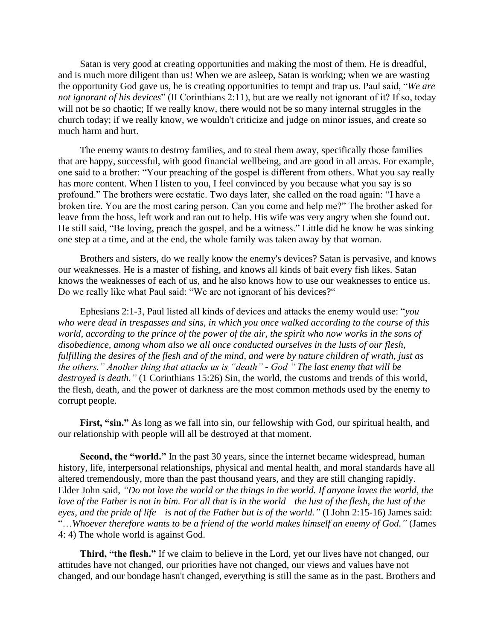Satan is very good at creating opportunities and making the most of them. He is dreadful, and is much more diligent than us! When we are asleep, Satan is working; when we are wasting the opportunity God gave us, he is creating opportunities to tempt and trap us. Paul said, "*We are not ignorant of his devices*" (II Corinthians 2:11), but are we really not ignorant of it? If so, today will not be so chaotic; If we really know, there would not be so many internal struggles in the church today; if we really know, we wouldn't criticize and judge on minor issues, and create so much harm and hurt.

The enemy wants to destroy families, and to steal them away, specifically those families that are happy, successful, with good financial wellbeing, and are good in all areas. For example, one said to a brother: "Your preaching of the gospel is different from others. What you say really has more content. When I listen to you, I feel convinced by you because what you say is so profound." The brothers were ecstatic. Two days later, she called on the road again: "I have a broken tire. You are the most caring person. Can you come and help me?" The brother asked for leave from the boss, left work and ran out to help. His wife was very angry when she found out. He still said, "Be loving, preach the gospel, and be a witness." Little did he know he was sinking one step at a time, and at the end, the whole family was taken away by that woman.

Brothers and sisters, do we really know the enemy's devices? Satan is pervasive, and knows our weaknesses. He is a master of fishing, and knows all kinds of bait every fish likes. Satan knows the weaknesses of each of us, and he also knows how to use our weaknesses to entice us. Do we really like what Paul said: "We are not ignorant of his devices?"

Ephesians 2:1-3, Paul listed all kinds of devices and attacks the enemy would use: "*you who were dead in trespasses and sins, in which you once walked according to the course of this world, according to the prince of the power of the air, the spirit who now works in the sons of disobedience, among whom also we all once conducted ourselves in the lusts of our flesh, fulfilling the desires of the flesh and of the mind, and were by nature children of wrath, just as the others." Another thing that attacks us is "death" - God " The last enemy that will be destroyed is death."* (1 Corinthians 15:26) Sin, the world, the customs and trends of this world, the flesh, death, and the power of darkness are the most common methods used by the enemy to corrupt people.

**First, "sin."** As long as we fall into sin, our fellowship with God, our spiritual health, and our relationship with people will all be destroyed at that moment.

**Second, the "world."** In the past 30 years, since the internet became widespread, human history, life, interpersonal relationships, physical and mental health, and moral standards have all altered tremendously, more than the past thousand years, and they are still changing rapidly. Elder John said, *"Do not love the world or the things in the world. If anyone loves the world, the love of the Father is not in him. For all that is in the world—the lust of the flesh, the lust of the eyes, and the pride of life—is not of the Father but is of the world."* (I John 2:15-16) James said: "…*Whoever therefore wants to be a friend of the world makes himself an enemy of God."* (James 4: 4) The whole world is against God.

**Third, "the flesh."** If we claim to believe in the Lord, yet our lives have not changed, our attitudes have not changed, our priorities have not changed, our views and values have not changed, and our bondage hasn't changed, everything is still the same as in the past. Brothers and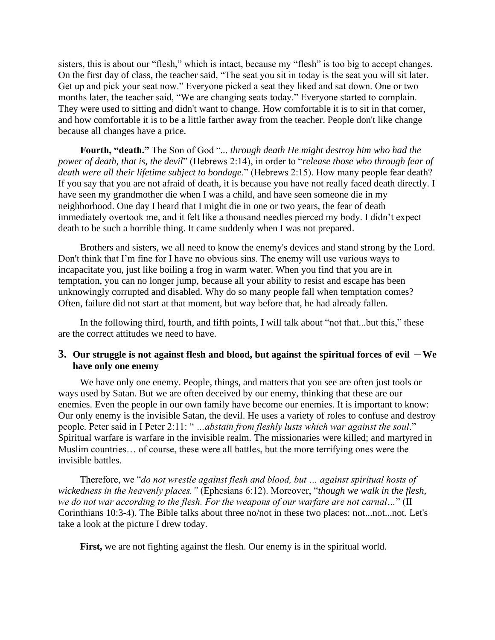sisters, this is about our "flesh," which is intact, because my "flesh" is too big to accept changes. On the first day of class, the teacher said, "The seat you sit in today is the seat you will sit later. Get up and pick your seat now." Everyone picked a seat they liked and sat down. One or two months later, the teacher said, "We are changing seats today." Everyone started to complain. They were used to sitting and didn't want to change. How comfortable it is to sit in that corner, and how comfortable it is to be a little farther away from the teacher. People don't like change because all changes have a price.

**Fourth, "death."** The Son of God "*... through death He might destroy him who had the power of death, that is, the devil*" (Hebrews 2:14), in order to "*release those who through fear of death were all their lifetime subject to bondage*." (Hebrews 2:15). How many people fear death? If you say that you are not afraid of death, it is because you have not really faced death directly. I have seen my grandmother die when I was a child, and have seen someone die in my neighborhood. One day I heard that I might die in one or two years, the fear of death immediately overtook me, and it felt like a thousand needles pierced my body. I didn't expect death to be such a horrible thing. It came suddenly when I was not prepared.

Brothers and sisters, we all need to know the enemy's devices and stand strong by the Lord. Don't think that I'm fine for I have no obvious sins. The enemy will use various ways to incapacitate you, just like boiling a frog in warm water. When you find that you are in temptation, you can no longer jump, because all your ability to resist and escape has been unknowingly corrupted and disabled. Why do so many people fall when temptation comes? Often, failure did not start at that moment, but way before that, he had already fallen.

In the following third, fourth, and fifth points, I will talk about "not that...but this," these are the correct attitudes we need to have.

#### **3.** Our struggle is not against flesh and blood, but against the spiritual forces of evil  $-\text{We}$ **have only one enemy**

We have only one enemy. People, things, and matters that you see are often just tools or ways used by Satan. But we are often deceived by our enemy, thinking that these are our enemies. Even the people in our own family have become our enemies. It is important to know: Our only enemy is the invisible Satan, the devil. He uses a variety of roles to confuse and destroy people. Peter said in I Peter 2:11: " *…abstain from fleshly lusts which war against the soul*." Spiritual warfare is warfare in the invisible realm. The missionaries were killed; and martyred in Muslim countries… of course, these were all battles, but the more terrifying ones were the invisible battles.

Therefore, we "*do not wrestle against flesh and blood, but … against spiritual hosts of wickedness in the heavenly places."* (Ephesians 6:12). Moreover, "*though we walk in the flesh, we do not war according to the flesh. For the weapons of our warfare are not carnal…*" (II Corinthians 10:3-4). The Bible talks about three no/not in these two places: not...not...not. Let's take a look at the picture I drew today.

**First,** we are not fighting against the flesh. Our enemy is in the spiritual world.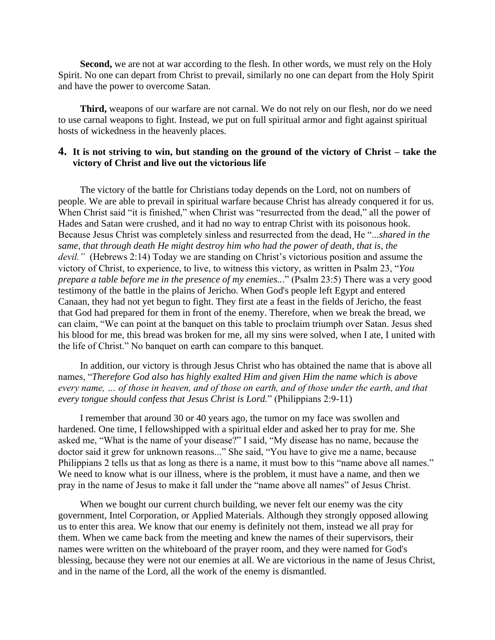**Second,** we are not at war according to the flesh. In other words, we must rely on the Holy Spirit. No one can depart from Christ to prevail, similarly no one can depart from the Holy Spirit and have the power to overcome Satan.

**Third,** weapons of our warfare are not carnal. We do not rely on our flesh, nor do we need to use carnal weapons to fight. Instead, we put on full spiritual armor and fight against spiritual hosts of wickedness in the heavenly places.

#### **4. It is not striving to win, but standing on the ground of the victory of Christ – take the victory of Christ and live out the victorious life**

The victory of the battle for Christians today depends on the Lord, not on numbers of people. We are able to prevail in spiritual warfare because Christ has already conquered it for us. When Christ said "it is finished," when Christ was "resurrected from the dead," all the power of Hades and Satan were crushed, and it had no way to entrap Christ with its poisonous hook. Because Jesus Christ was completely sinless and resurrected from the dead, He "...*shared in the same, that through death He might destroy him who had the power of death, that is, the devil."* (Hebrews 2:14) Today we are standing on Christ's victorious position and assume the victory of Christ, to experience, to live, to witness this victory, as written in Psalm 23, "*You prepare a table before me in the presence of my enemies..*." (Psalm 23:5) There was a very good testimony of the battle in the plains of Jericho. When God's people left Egypt and entered Canaan, they had not yet begun to fight. They first ate a feast in the fields of Jericho, the feast that God had prepared for them in front of the enemy. Therefore, when we break the bread, we can claim, "We can point at the banquet on this table to proclaim triumph over Satan. Jesus shed his blood for me, this bread was broken for me, all my sins were solved, when I ate, I united with the life of Christ." No banquet on earth can compare to this banquet.

In addition, our victory is through Jesus Christ who has obtained the name that is above all names, "*Therefore God also has highly exalted Him and given Him the name which is above every name, … of those in heaven, and of those on earth, and of those under the earth, and that every tongue should confess that Jesus Christ is Lord.*" (Philippians 2:9-11)

I remember that around 30 or 40 years ago, the tumor on my face was swollen and hardened. One time, I fellowshipped with a spiritual elder and asked her to pray for me. She asked me, "What is the name of your disease?" I said, "My disease has no name, because the doctor said it grew for unknown reasons..." She said, "You have to give me a name, because Philippians 2 tells us that as long as there is a name, it must bow to this "name above all names." We need to know what is our illness, where is the problem, it must have a name, and then we pray in the name of Jesus to make it fall under the "name above all names" of Jesus Christ.

When we bought our current church building, we never felt our enemy was the city government, Intel Corporation, or Applied Materials. Although they strongly opposed allowing us to enter this area. We know that our enemy is definitely not them, instead we all pray for them. When we came back from the meeting and knew the names of their supervisors, their names were written on the whiteboard of the prayer room, and they were named for God's blessing, because they were not our enemies at all. We are victorious in the name of Jesus Christ, and in the name of the Lord, all the work of the enemy is dismantled.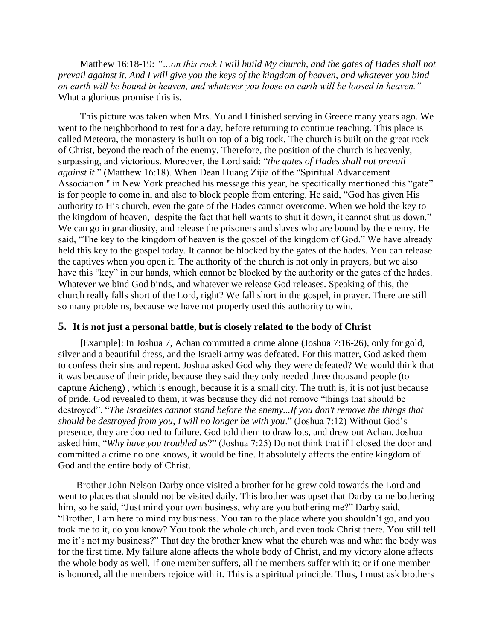Matthew 16:18-19: *"…on this rock I will build My church, and the gates of Hades shall not prevail against it. And I will give you the keys of the kingdom of heaven, and whatever you bind on earth will be bound in heaven, and whatever you loose on earth will be loosed in heaven."* What a glorious promise this is.

This picture was taken when Mrs. Yu and I finished serving in Greece many years ago. We went to the neighborhood to rest for a day, before returning to continue teaching. This place is called Meteora, the monastery is built on top of a big rock. The church is built on the great rock of Christ, beyond the reach of the enemy. Therefore, the position of the church is heavenly, surpassing, and victorious. Moreover, the Lord said: "*the gates of Hades shall not prevail against it*." (Matthew 16:18). When Dean Huang Zijia of the "Spiritual Advancement Association " in New York preached his message this year, he specifically mentioned this "gate" is for people to come in, and also to block people from entering. He said, "God has given His authority to His church, even the gate of the Hades cannot overcome. When we hold the key to the kingdom of heaven, despite the fact that hell wants to shut it down, it cannot shut us down." We can go in grandiosity, and release the prisoners and slaves who are bound by the enemy. He said, "The key to the kingdom of heaven is the gospel of the kingdom of God." We have already held this key to the gospel today. It cannot be blocked by the gates of the hades. You can release the captives when you open it. The authority of the church is not only in prayers, but we also have this "key" in our hands, which cannot be blocked by the authority or the gates of the hades. Whatever we bind God binds, and whatever we release God releases. Speaking of this, the church really falls short of the Lord, right? We fall short in the gospel, in prayer. There are still so many problems, because we have not properly used this authority to win.

#### **5. It is not just a personal battle, but is closely related to the body of Christ**

[Example]: In Joshua 7, Achan committed a crime alone (Joshua 7:16-26), only for gold, silver and a beautiful dress, and the Israeli army was defeated. For this matter, God asked them to confess their sins and repent. Joshua asked God why they were defeated? We would think that it was because of their pride, because they said they only needed three thousand people (to capture Aicheng) , which is enough, because it is a small city. The truth is, it is not just because of pride. God revealed to them, it was because they did not remove "things that should be destroyed". "*The Israelites cannot stand before the enemy...If you don't remove the things that should be destroyed from you, I will no longer be with you*." (Joshua 7:12) Without God's presence, they are doomed to failure. God told them to draw lots, and drew out Achan. Joshua asked him, "*Why have you troubled us*?" (Joshua 7:25) Do not think that if I closed the door and committed a crime no one knows, it would be fine. It absolutely affects the entire kingdom of God and the entire body of Christ.

Brother John Nelson Darby once visited a brother for he grew cold towards the Lord and went to places that should not be visited daily. This brother was upset that Darby came bothering him, so he said, "Just mind your own business, why are you bothering me?" Darby said, "Brother, I am here to mind my business. You ran to the place where you shouldn't go, and you took me to it, do you know? You took the whole church, and even took Christ there. You still tell me it's not my business?" That day the brother knew what the church was and what the body was for the first time. My failure alone affects the whole body of Christ, and my victory alone affects the whole body as well. If one member suffers, all the members suffer with it; or if one member is honored, all the members rejoice with it. This is a spiritual principle. Thus, I must ask brothers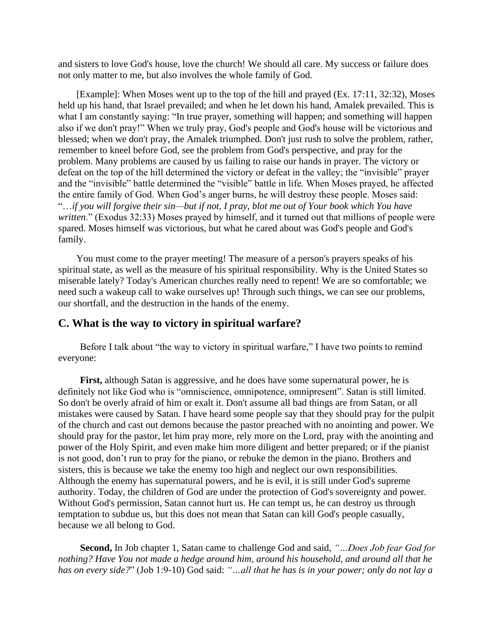and sisters to love God's house, love the church! We should all care. My success or failure does not only matter to me, but also involves the whole family of God.

[Example]: When Moses went up to the top of the hill and prayed (Ex. 17:11, 32:32), Moses held up his hand, that Israel prevailed; and when he let down his hand, Amalek prevailed. This is what I am constantly saying: "In true prayer, something will happen; and something will happen also if we don't pray!" When we truly pray, God's people and God's house will be victorious and blessed; when we don't pray, the Amalek triumphed. Don't just rush to solve the problem, rather, remember to kneel before God, see the problem from God's perspective, and pray for the problem. Many problems are caused by us failing to raise our hands in prayer. The victory or defeat on the top of the hill determined the victory or defeat in the valley; the "invisible" prayer and the "invisible" battle determined the "visible" battle in life. When Moses prayed, he affected the entire family of God. When God's anger burns, he will destroy these people. Moses said: "…*if you will forgive their sin—but if not, I pray, blot me out of Your book which You have written*." (Exodus 32:33) Moses prayed by himself, and it turned out that millions of people were spared. Moses himself was victorious, but what he cared about was God's people and God's family.

You must come to the prayer meeting! The measure of a person's prayers speaks of his spiritual state, as well as the measure of his spiritual responsibility. Why is the United States so miserable lately? Today's American churches really need to repent! We are so comfortable; we need such a wakeup call to wake ourselves up! Through such things, we can see our problems, our shortfall, and the destruction in the hands of the enemy.

#### **C. What is the way to victory in spiritual warfare?**

Before I talk about "the way to victory in spiritual warfare," I have two points to remind everyone:

**First,** although Satan is aggressive, and he does have some supernatural power, he is definitely not like God who is "omniscience, omnipotence, omnipresent". Satan is still limited. So don't be overly afraid of him or exalt it. Don't assume all bad things are from Satan, or all mistakes were caused by Satan. I have heard some people say that they should pray for the pulpit of the church and cast out demons because the pastor preached with no anointing and power. We should pray for the pastor, let him pray more, rely more on the Lord, pray with the anointing and power of the Holy Spirit, and even make him more diligent and better prepared; or if the pianist is not good, don't run to pray for the piano, or rebuke the demon in the piano. Brothers and sisters, this is because we take the enemy too high and neglect our own responsibilities. Although the enemy has supernatural powers, and he is evil, it is still under God's supreme authority. Today, the children of God are under the protection of God's sovereignty and power. Without God's permission, Satan cannot hurt us. He can tempt us, he can destroy us through temptation to subdue us, but this does not mean that Satan can kill God's people casually, because we all belong to God.

**Second,** In Job chapter 1, Satan came to challenge God and said, *"…Does Job fear God for nothing? Have You not made a hedge around him, around his household, and around all that he has on every side?*" (Job 1:9-10) God said: *"…all that he has is in your power; only do not lay a*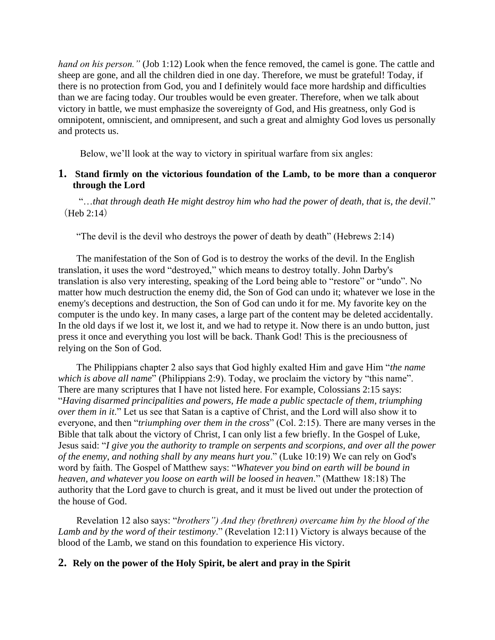*hand on his person."* (Job 1:12) Look when the fence removed, the camel is gone. The cattle and sheep are gone, and all the children died in one day. Therefore, we must be grateful! Today, if there is no protection from God, you and I definitely would face more hardship and difficulties than we are facing today. Our troubles would be even greater. Therefore, when we talk about victory in battle, we must emphasize the sovereignty of God, and His greatness, only God is omnipotent, omniscient, and omnipresent, and such a great and almighty God loves us personally and protects us.

Below, we'll look at the way to victory in spiritual warfare from six angles:

#### **1. Stand firmly on the victorious foundation of the Lamb, to be more than a conqueror through the Lord**

"…*that through death He might destroy him who had the power of death, that is, the devil*." (Heb 2:14)

"The devil is the devil who destroys the power of death by death" (Hebrews 2:14)

The manifestation of the Son of God is to destroy the works of the devil. In the English translation, it uses the word "destroyed," which means to destroy totally. John Darby's translation is also very interesting, speaking of the Lord being able to "restore" or "undo". No matter how much destruction the enemy did, the Son of God can undo it; whatever we lose in the enemy's deceptions and destruction, the Son of God can undo it for me. My favorite key on the computer is the undo key. In many cases, a large part of the content may be deleted accidentally. In the old days if we lost it, we lost it, and we had to retype it. Now there is an undo button, just press it once and everything you lost will be back. Thank God! This is the preciousness of relying on the Son of God.

The Philippians chapter 2 also says that God highly exalted Him and gave Him "*the name which is above all name*" (Philippians 2:9). Today, we proclaim the victory by "this name". There are many scriptures that I have not listed here. For example, Colossians 2:15 says: "*Having disarmed principalities and powers, He made a public spectacle of them, triumphing over them in it*." Let us see that Satan is a captive of Christ, and the Lord will also show it to everyone, and then "*triumphing over them in the cross*" (Col. 2:15). There are many verses in the Bible that talk about the victory of Christ, I can only list a few briefly. In the Gospel of Luke, Jesus said: "*I give you the authority to trample on serpents and scorpions, and over all the power of the enemy, and nothing shall by any means hurt you*." (Luke 10:19) We can rely on God's word by faith. The Gospel of Matthew says: "*Whatever you bind on earth will be bound in heaven, and whatever you loose on earth will be loosed in heaven*." (Matthew 18:18) The authority that the Lord gave to church is great, and it must be lived out under the protection of the house of God.

Revelation 12 also says: "*brothers") And they (brethren) overcame him by the blood of the Lamb and by the word of their testimony*." (Revelation 12:11) Victory is always because of the blood of the Lamb, we stand on this foundation to experience His victory.

#### **2. Rely on the power of the Holy Spirit, be alert and pray in the Spirit**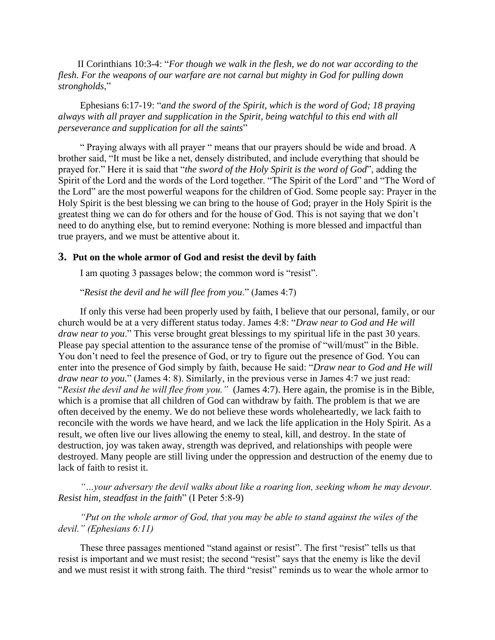II Corinthians 10:3-4: "*For though we walk in the flesh, we do not war according to the flesh. For the weapons of our warfare are not carnal but mighty in God for pulling down strongholds*,"

Ephesians 6:17-19: "*and the sword of the Spirit, which is the word of God; 18 praying always with all prayer and supplication in the Spirit, being watchful to this end with all perseverance and supplication for all the saints*"

" Praying always with all prayer " means that our prayers should be wide and broad. A brother said, "It must be like a net, densely distributed, and include everything that should be prayed for." Here it is said that "*the sword of the Holy Spirit is the word of God*", adding the Spirit of the Lord and the words of the Lord together. "The Spirit of the Lord" and "The Word of the Lord" are the most powerful weapons for the children of God. Some people say: Prayer in the Holy Spirit is the best blessing we can bring to the house of God; prayer in the Holy Spirit is the greatest thing we can do for others and for the house of God. This is not saying that we don't need to do anything else, but to remind everyone: Nothing is more blessed and impactful than true prayers, and we must be attentive about it.

#### **3. Put on the whole armor of God and resist the devil by faith**

I am quoting 3 passages below; the common word is "resist".

"*Resist the devil and he will flee from you*." (James 4:7)

If only this verse had been properly used by faith, I believe that our personal, family, or our church would be at a very different status today. James 4:8: "*Draw near to God and He will draw near to you*." This verse brought great blessings to my spiritual life in the past 30 years. Please pay special attention to the assurance tense of the promise of "will/must" in the Bible. You don't need to feel the presence of God, or try to figure out the presence of God. You can enter into the presence of God simply by faith, because He said: "*Draw near to God and He will draw near to you.*" (James 4: 8). Similarly, in the previous verse in James 4:7 we just read: "*Resist the devil and he will flee from you."* (James 4:7). Here again, the promise is in the Bible, which is a promise that all children of God can withdraw by faith. The problem is that we are often deceived by the enemy. We do not believe these words wholeheartedly, we lack faith to reconcile with the words we have heard, and we lack the life application in the Holy Spirit. As a result, we often live our lives allowing the enemy to steal, kill, and destroy. In the state of destruction, joy was taken away, strength was deprived, and relationships with people were destroyed. Many people are still living under the oppression and destruction of the enemy due to lack of faith to resist it.

*"…your adversary the devil walks about like a roaring lion, seeking whom he may devour. Resist him, steadfast in the faith*" (I Peter 5:8-9)

*"Put on the whole armor of God, that you may be able to stand against the wiles of the devil." (Ephesians 6:11)*

These three passages mentioned "stand against or resist". The first "resist" tells us that resist is important and we must resist; the second "resist" says that the enemy is like the devil and we must resist it with strong faith. The third "resist" reminds us to wear the whole armor to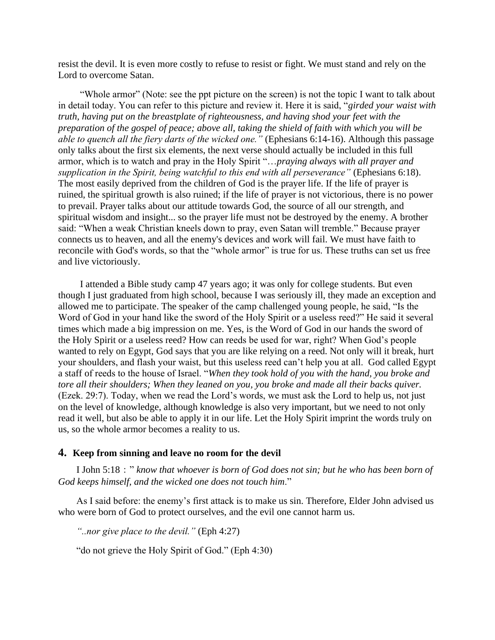resist the devil. It is even more costly to refuse to resist or fight. We must stand and rely on the Lord to overcome Satan.

"Whole armor" (Note: see the ppt picture on the screen) is not the topic I want to talk about in detail today. You can refer to this picture and review it. Here it is said, "*girded your waist with truth, having put on the breastplate of righteousness, and having shod your feet with the preparation of the gospel of peace; above all, taking the shield of faith with which you will be able to quench all the fiery darts of the wicked one."* (Ephesians 6:14-16). Although this passage only talks about the first six elements, the next verse should actually be included in this full armor, which is to watch and pray in the Holy Spirit "…*praying always with all prayer and supplication in the Spirit, being watchful to this end with all perseverance"* (Ephesians 6:18). The most easily deprived from the children of God is the prayer life. If the life of prayer is ruined, the spiritual growth is also ruined; if the life of prayer is not victorious, there is no power to prevail. Prayer talks about our attitude towards God, the source of all our strength, and spiritual wisdom and insight... so the prayer life must not be destroyed by the enemy. A brother said: "When a weak Christian kneels down to pray, even Satan will tremble." Because prayer connects us to heaven, and all the enemy's devices and work will fail. We must have faith to reconcile with God's words, so that the "whole armor" is true for us. These truths can set us free and live victoriously.

I attended a Bible study camp 47 years ago; it was only for college students. But even though I just graduated from high school, because I was seriously ill, they made an exception and allowed me to participate. The speaker of the camp challenged young people, he said, "Is the Word of God in your hand like the sword of the Holy Spirit or a useless reed?" He said it several times which made a big impression on me. Yes, is the Word of God in our hands the sword of the Holy Spirit or a useless reed? How can reeds be used for war, right? When God's people wanted to rely on Egypt, God says that you are like relying on a reed. Not only will it break, hurt your shoulders, and flash your waist, but this useless reed can't help you at all. God called Egypt a staff of reeds to the house of Israel. "*When they took hold of you with the hand, you broke and tore all their shoulders; When they leaned on you, you broke and made all their backs quiver.* (Ezek. 29:7). Today, when we read the Lord's words, we must ask the Lord to help us, not just on the level of knowledge, although knowledge is also very important, but we need to not only read it well, but also be able to apply it in our life. Let the Holy Spirit imprint the words truly on us, so the whole armor becomes a reality to us.

#### **4. Keep from sinning and leave no room for the devil**

I John 5:18:" *know that whoever is born of God does not sin; but he who has been born of God keeps himself, and the wicked one does not touch him*."

As I said before: the enemy's first attack is to make us sin. Therefore, Elder John advised us who were born of God to protect ourselves, and the evil one cannot harm us.

*"..nor give place to the devil."* (Eph 4:27)

"do not grieve the Holy Spirit of God." (Eph 4:30)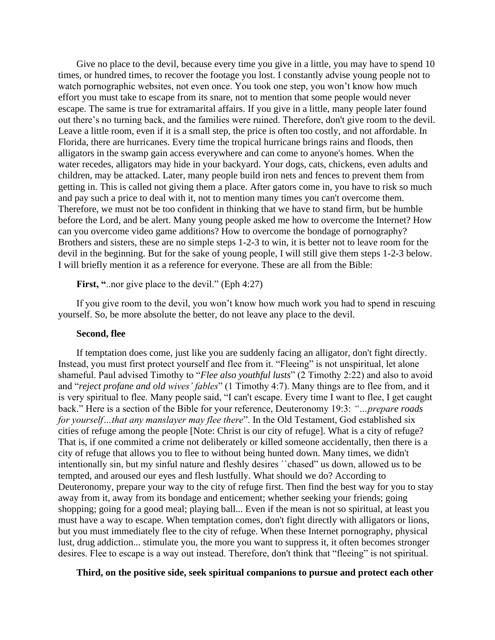Give no place to the devil, because every time you give in a little, you may have to spend 10 times, or hundred times, to recover the footage you lost. I constantly advise young people not to watch pornographic websites, not even once. You took one step, you won't know how much effort you must take to escape from its snare, not to mention that some people would never escape. The same is true for extramarital affairs. If you give in a little, many people later found out there's no turning back, and the families were ruined. Therefore, don't give room to the devil. Leave a little room, even if it is a small step, the price is often too costly, and not affordable. In Florida, there are hurricanes. Every time the tropical hurricane brings rains and floods, then alligators in the swamp gain access everywhere and can come to anyone's homes. When the water recedes, alligators may hide in your backyard. Your dogs, cats, chickens, even adults and children, may be attacked. Later, many people build iron nets and fences to prevent them from getting in. This is called not giving them a place. After gators come in, you have to risk so much and pay such a price to deal with it, not to mention many times you can't overcome them. Therefore, we must not be too confident in thinking that we have to stand firm, but be humble before the Lord, and be alert. Many young people asked me how to overcome the Internet? How can you overcome video game additions? How to overcome the bondage of pornography? Brothers and sisters, these are no simple steps 1-2-3 to win, it is better not to leave room for the devil in the beginning. But for the sake of young people, I will still give them steps 1-2-3 below. I will briefly mention it as a reference for everyone. These are all from the Bible:

First, "..nor give place to the devil." (Eph 4:27)

If you give room to the devil, you won't know how much work you had to spend in rescuing yourself. So, be more absolute the better, do not leave any place to the devil.

#### **Second, flee**

If temptation does come, just like you are suddenly facing an alligator, don't fight directly. Instead, you must first protect yourself and flee from it. "Fleeing" is not unspiritual, let alone shameful. Paul advised Timothy to "*Flee also youthful lusts*" (2 Timothy 2:22) and also to avoid and "*reject profane and old wives' fables*" (1 Timothy 4:7). Many things are to flee from, and it is very spiritual to flee. Many people said, "I can't escape. Every time I want to flee, I get caught back." Here is a section of the Bible for your reference, Deuteronomy 19:3: *"…prepare roads for yourself…that any manslayer may flee there*". In the Old Testament, God established six cities of refuge among the people [Note: Christ is our city of refuge]. What is a city of refuge? That is, if one commited a crime not deliberately or killed someone accidentally, then there is a city of refuge that allows you to flee to without being hunted down. Many times, we didn't intentionally sin, but my sinful nature and fleshly desires ``chased" us down, allowed us to be tempted, and aroused our eyes and flesh lustfully. What should we do? According to Deuteronomy, prepare your way to the city of refuge first. Then find the best way for you to stay away from it, away from its bondage and enticement; whether seeking your friends; going shopping; going for a good meal; playing ball... Even if the mean is not so spiritual, at least you must have a way to escape. When temptation comes, don't fight directly with alligators or lions, but you must immediately flee to the city of refuge. When these Internet pornography, physical lust, drug addiction... stimulate you, the more you want to suppress it, it often becomes stronger desires. Flee to escape is a way out instead. Therefore, don't think that "fleeing" is not spiritual.

#### **Third, on the positive side, seek spiritual companions to pursue and protect each other**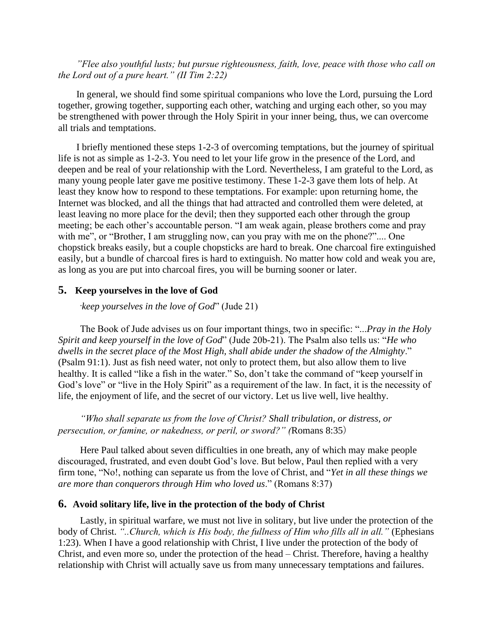*"Flee also youthful lusts; but pursue righteousness, faith, love, peace with those who call on the Lord out of a pure heart." (II Tim 2:22)*

In general, we should find some spiritual companions who love the Lord, pursuing the Lord together, growing together, supporting each other, watching and urging each other, so you may be strengthened with power through the Holy Spirit in your inner being, thus, we can overcome all trials and temptations.

I briefly mentioned these steps 1-2-3 of overcoming temptations, but the journey of spiritual life is not as simple as 1-2-3. You need to let your life grow in the presence of the Lord, and deepen and be real of your relationship with the Lord. Nevertheless, I am grateful to the Lord, as many young people later gave me positive testimony. These 1-2-3 gave them lots of help. At least they know how to respond to these temptations. For example: upon returning home, the Internet was blocked, and all the things that had attracted and controlled them were deleted, at least leaving no more place for the devil; then they supported each other through the group meeting; be each other's accountable person. "I am weak again, please brothers come and pray with me", or "Brother, I am struggling now, can you pray with me on the phone?".... One chopstick breaks easily, but a couple chopsticks are hard to break. One charcoal fire extinguished easily, but a bundle of charcoal fires is hard to extinguish. No matter how cold and weak you are, as long as you are put into charcoal fires, you will be burning sooner or later.

#### **5. Keep yourselves in the love of God**

**"***keep yourselves in the love of God*" (Jude 21)

The Book of Jude advises us on four important things, two in specific: "...*Pray in the Holy Spirit and keep yourself in the love of God*" (Jude 20b-21). The Psalm also tells us: "*He who dwells in the secret place of the Most High, shall abide under the shadow of the Almighty*." (Psalm 91:1). Just as fish need water, not only to protect them, but also allow them to live healthy. It is called "like a fish in the water." So, don't take the command of "keep yourself in God's love" or "live in the Holy Spirit" as a requirement of the law. In fact, it is the necessity of life, the enjoyment of life, and the secret of our victory. Let us live well, live healthy.

*"Who shall separate us from the love of Christ? Shall tribulation, or distress, or persecution, or famine, or nakedness, or peril, or sword?" (*Romans 8:35)

Here Paul talked about seven difficulties in one breath, any of which may make people discouraged, frustrated, and even doubt God's love. But below, Paul then replied with a very firm tone, "No!, nothing can separate us from the love of Christ, and "*Yet in all these things we are more than conquerors through Him who loved us*." (Romans 8:37)

#### **6. Avoid solitary life, live in the protection of the body of Christ**

Lastly, in spiritual warfare, we must not live in solitary, but live under the protection of the body of Christ. *"..Church, which is His body, the fullness of Him who fills all in all."* (Ephesians 1:23). When I have a good relationship with Christ, I live under the protection of the body of Christ, and even more so, under the protection of the head – Christ. Therefore, having a healthy relationship with Christ will actually save us from many unnecessary temptations and failures.